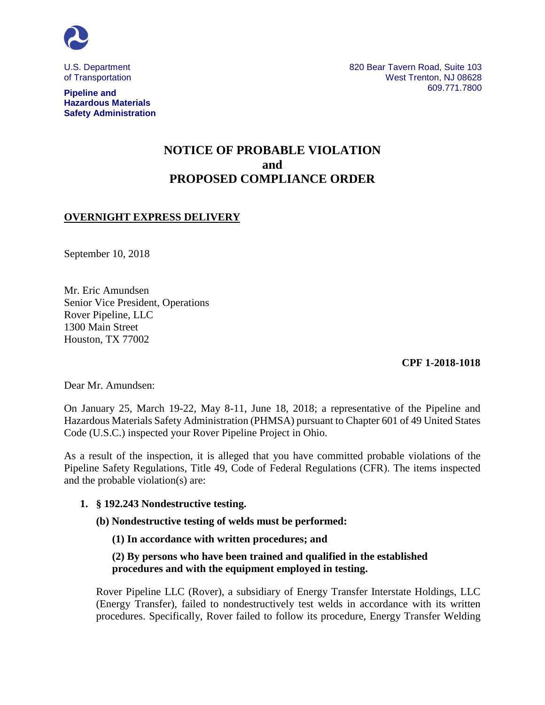

U.S. Department of Transportation

**Pipeline and Hazardous Materials Safety Administration**

# **NOTICE OF PROBABLE VIOLATION and PROPOSED COMPLIANCE ORDER**

# **OVERNIGHT EXPRESS DELIVERY**

September 10, 2018

Mr. Eric Amundsen Senior Vice President, Operations Rover Pipeline, LLC 1300 Main Street Houston, TX 77002

**CPF 1-2018-1018**

Dear Mr. Amundsen:

On January 25, March 19-22, May 8-11, June 18, 2018; a representative of the Pipeline and Hazardous Materials Safety Administration (PHMSA) pursuant to Chapter 601 of 49 United States Code (U.S.C.) inspected your Rover Pipeline Project in Ohio.

As a result of the inspection, it is alleged that you have committed probable violations of the Pipeline Safety Regulations, Title 49, Code of Federal Regulations (CFR). The items inspected and the probable violation(s) are:

### **1. § 192.243 Nondestructive testing.**

**(b) Nondestructive testing of welds must be performed:**

 **(1) In accordance with written procedures; and**

 **(2) By persons who have been trained and qualified in the established procedures and with the equipment employed in testing.**

Rover Pipeline LLC (Rover), a subsidiary of Energy Transfer Interstate Holdings, LLC (Energy Transfer), failed to nondestructively test welds in accordance with its written procedures. Specifically, Rover failed to follow its procedure, Energy Transfer Welding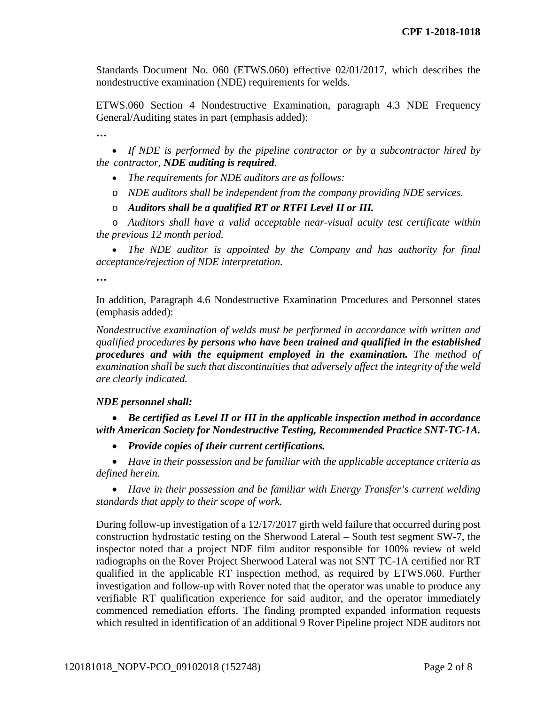Standards Document No. 060 (ETWS.060) effective 02/01/2017, which describes the nondestructive examination (NDE) requirements for welds.

ETWS.060 Section 4 Nondestructive Examination, paragraph 4.3 NDE Frequency General/Auditing states in part (emphasis added):

**…** 

• *If NDE is performed by the pipeline contractor or by a subcontractor hired by the contractor, NDE auditing is required.* 

- *The requirements for NDE auditors are as follows:*
- o *NDE auditors shall be independent from the company providing NDE services.*
- o *Auditors shall be a qualified RT or RTFI Level II or III.*

o *Auditors shall have a valid acceptable near-visual acuity test certificate within the previous 12 month period.* 

• *The NDE auditor is appointed by the Company and has authority for final acceptance/rejection of NDE interpretation.*

**…** 

In addition, Paragraph 4.6 Nondestructive Examination Procedures and Personnel states (emphasis added):

*Nondestructive examination of welds must be performed in accordance with written and qualified procedures by persons who have been trained and qualified in the established procedures and with the equipment employed in the examination. The method of examination shall be such that discontinuities that adversely affect the integrity of the weld are clearly indicated.* 

### *NDE personnel shall:*

• *Be certified as Level II or III in the applicable inspection method in accordance with American Society for Nondestructive Testing, Recommended Practice SNT-TC-1A.* 

• *Provide copies of their current certifications.*

• *Have in their possession and be familiar with the applicable acceptance criteria as defined herein.* 

• *Have in their possession and be familiar with Energy Transfer's current welding standards that apply to their scope of work.* 

During follow-up investigation of a 12/17/2017 girth weld failure that occurred during post construction hydrostatic testing on the Sherwood Lateral – South test segment SW-7, the inspector noted that a project NDE film auditor responsible for 100% review of weld radiographs on the Rover Project Sherwood Lateral was not SNT TC-1A certified nor RT qualified in the applicable RT inspection method, as required by ETWS.060. Further investigation and follow-up with Rover noted that the operator was unable to produce any verifiable RT qualification experience for said auditor, and the operator immediately commenced remediation efforts. The finding prompted expanded information requests which resulted in identification of an additional 9 Rover Pipeline project NDE auditors not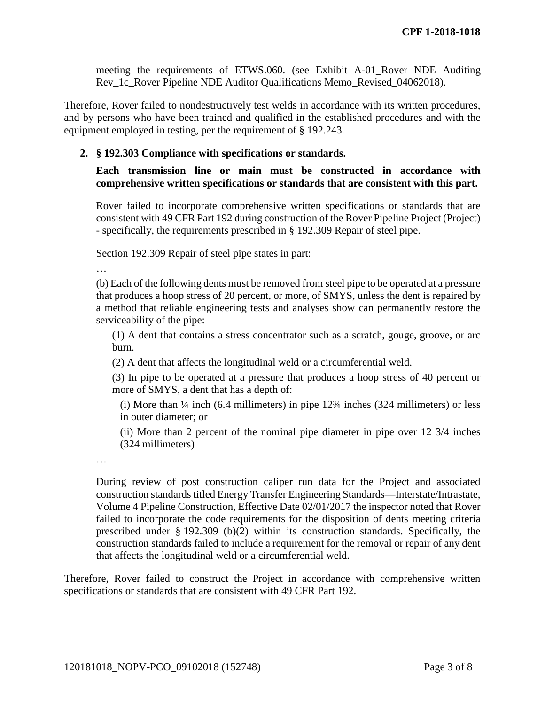meeting the requirements of ETWS.060. (see Exhibit A-01\_Rover NDE Auditing Rev\_1c\_Rover Pipeline NDE Auditor Qualifications Memo\_Revised\_04062018).

Therefore, Rover failed to nondestructively test welds in accordance with its written procedures, and by persons who have been trained and qualified in the established procedures and with the equipment employed in testing, per the requirement of § 192.243.

### **2. § 192.303 Compliance with specifications or standards.**

# **Each transmission line or main must be constructed in accordance with comprehensive written specifications or standards that are consistent with this part.**

Rover failed to incorporate comprehensive written specifications or standards that are consistent with 49 CFR Part 192 during construction of the Rover Pipeline Project (Project) - specifically, the requirements prescribed in § 192.309 Repair of steel pipe.

Section 192.309 Repair of steel pipe states in part:

…

(b) Each of the following dents must be removed from steel pipe to be operated at a pressure that produces a hoop stress of 20 percent, or more, of SMYS, unless the dent is repaired by a method that reliable engineering tests and analyses show can permanently restore the serviceability of the pipe:

(1) A dent that contains a stress concentrator such as a scratch, gouge, groove, or arc burn.

(2) A dent that affects the longitudinal weld or a circumferential weld.

(3) In pipe to be operated at a pressure that produces a hoop stress of 40 percent or more of SMYS, a dent that has a depth of:

(i) More than ¼ inch (6.4 millimeters) in pipe 12¾ inches (324 millimeters) or less in outer diameter; or

(ii) More than 2 percent of the nominal pipe diameter in pipe over 12 3/4 inches (324 millimeters)

…

During review of post construction caliper run data for the Project and associated construction standards titled Energy Transfer Engineering Standards—Interstate/Intrastate, Volume 4 Pipeline Construction, Effective Date 02/01/2017 the inspector noted that Rover failed to incorporate the code requirements for the disposition of dents meeting criteria prescribed under § 192.309 (b)(2) within its construction standards. Specifically, the construction standards failed to include a requirement for the removal or repair of any dent that affects the longitudinal weld or a circumferential weld.

Therefore, Rover failed to construct the Project in accordance with comprehensive written specifications or standards that are consistent with 49 CFR Part 192.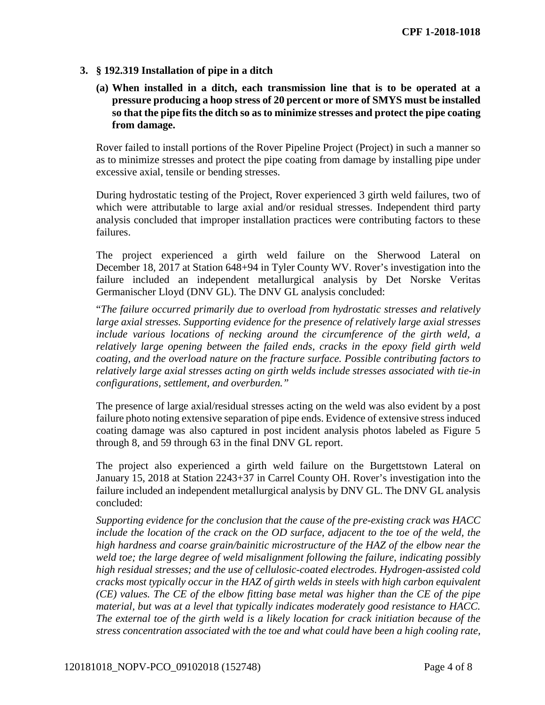# **3. § 192.319 Installation of pipe in a ditch**

**(a) When installed in a ditch, each transmission line that is to be operated at a pressure producing a hoop stress of 20 percent or more of SMYS must be installed so that the pipe fits the ditch so as to minimize stresses and protect the pipe coating from damage.** 

Rover failed to install portions of the Rover Pipeline Project (Project) in such a manner so as to minimize stresses and protect the pipe coating from damage by installing pipe under excessive axial, tensile or bending stresses.

During hydrostatic testing of the Project, Rover experienced 3 girth weld failures, two of which were attributable to large axial and/or residual stresses. Independent third party analysis concluded that improper installation practices were contributing factors to these failures.

The project experienced a girth weld failure on the Sherwood Lateral on December 18, 2017 at Station 648+94 in Tyler County WV. Rover's investigation into the failure included an independent metallurgical analysis by Det Norske Veritas Germanischer Lloyd (DNV GL). The DNV GL analysis concluded:

"*The failure occurred primarily due to overload from hydrostatic stresses and relatively large axial stresses. Supporting evidence for the presence of relatively large axial stresses include various locations of necking around the circumference of the girth weld, a relatively large opening between the failed ends, cracks in the epoxy field girth weld coating, and the overload nature on the fracture surface. Possible contributing factors to relatively large axial stresses acting on girth welds include stresses associated with tie-in configurations, settlement, and overburden."*

The presence of large axial/residual stresses acting on the weld was also evident by a post failure photo noting extensive separation of pipe ends. Evidence of extensive stress induced coating damage was also captured in post incident analysis photos labeled as Figure 5 through 8, and 59 through 63 in the final DNV GL report.

The project also experienced a girth weld failure on the Burgettstown Lateral on January 15, 2018 at Station 2243+37 in Carrel County OH. Rover's investigation into the failure included an independent metallurgical analysis by DNV GL. The DNV GL analysis concluded:

*Supporting evidence for the conclusion that the cause of the pre-existing crack was HACC include the location of the crack on the OD surface, adjacent to the toe of the weld, the high hardness and coarse grain/bainitic microstructure of the HAZ of the elbow near the weld toe; the large degree of weld misalignment following the failure, indicating possibly high residual stresses; and the use of cellulosic-coated electrodes. Hydrogen-assisted cold cracks most typically occur in the HAZ of girth welds in steels with high carbon equivalent (CE) values. The CE of the elbow fitting base metal was higher than the CE of the pipe material, but was at a level that typically indicates moderately good resistance to HACC. The external toe of the girth weld is a likely location for crack initiation because of the stress concentration associated with the toe and what could have been a high cooling rate,*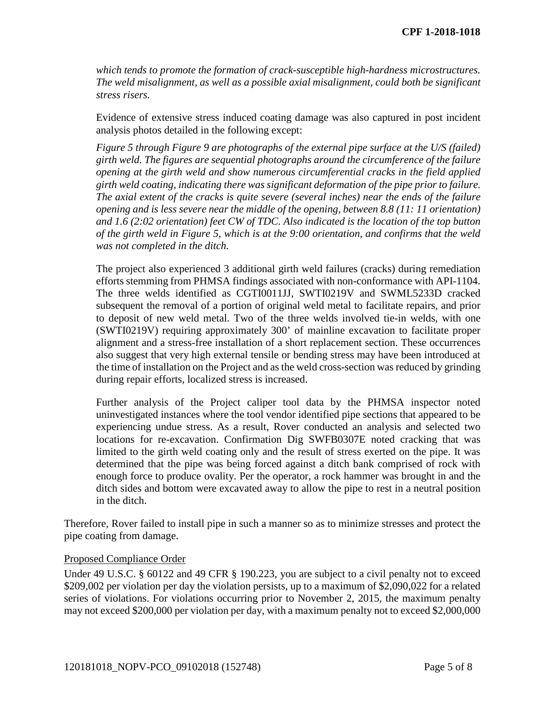*which tends to promote the formation of crack-susceptible high-hardness microstructures. The weld misalignment, as well as a possible axial misalignment, could both be significant stress risers.*

Evidence of extensive stress induced coating damage was also captured in post incident analysis photos detailed in the following except:

*Figure 5 through Figure 9 are photographs of the external pipe surface at the U/S (failed) girth weld. The figures are sequential photographs around the circumference of the failure opening at the girth weld and show numerous circumferential cracks in the field applied girth weld coating, indicating there was significant deformation of the pipe prior to failure. The axial extent of the cracks is quite severe (several inches) near the ends of the failure opening and is less severe near the middle of the opening, between 8.8 (11: 11 orientation) and 1.6 (2:02 orientation) feet CW of TDC. Also indicated is the location of the top button of the girth weld in Figure 5, which is at the 9:00 orientation, and confirms that the weld was not completed in the ditch.* 

The project also experienced 3 additional girth weld failures (cracks) during remediation efforts stemming from PHMSA findings associated with non-conformance with API-1104. The three welds identified as CGTI0011JJ, SWTI0219V and SWML5233D cracked subsequent the removal of a portion of original weld metal to facilitate repairs, and prior to deposit of new weld metal. Two of the three welds involved tie-in welds, with one (SWTI0219V) requiring approximately 300' of mainline excavation to facilitate proper alignment and a stress-free installation of a short replacement section. These occurrences also suggest that very high external tensile or bending stress may have been introduced at the time of installation on the Project and as the weld cross-section was reduced by grinding during repair efforts, localized stress is increased.

Further analysis of the Project caliper tool data by the PHMSA inspector noted uninvestigated instances where the tool vendor identified pipe sections that appeared to be experiencing undue stress. As a result, Rover conducted an analysis and selected two locations for re-excavation. Confirmation Dig SWFB0307E noted cracking that was limited to the girth weld coating only and the result of stress exerted on the pipe. It was determined that the pipe was being forced against a ditch bank comprised of rock with enough force to produce ovality. Per the operator, a rock hammer was brought in and the ditch sides and bottom were excavated away to allow the pipe to rest in a neutral position in the ditch.

Therefore, Rover failed to install pipe in such a manner so as to minimize stresses and protect the pipe coating from damage.

### Proposed Compliance Order

Under 49 U.S.C. § 60122 and 49 CFR § 190.223, you are subject to a civil penalty not to exceed \$209,002 per violation per day the violation persists, up to a maximum of \$2,090,022 for a related series of violations. For violations occurring prior to November 2, 2015, the maximum penalty may not exceed \$200,000 per violation per day, with a maximum penalty not to exceed \$2,000,000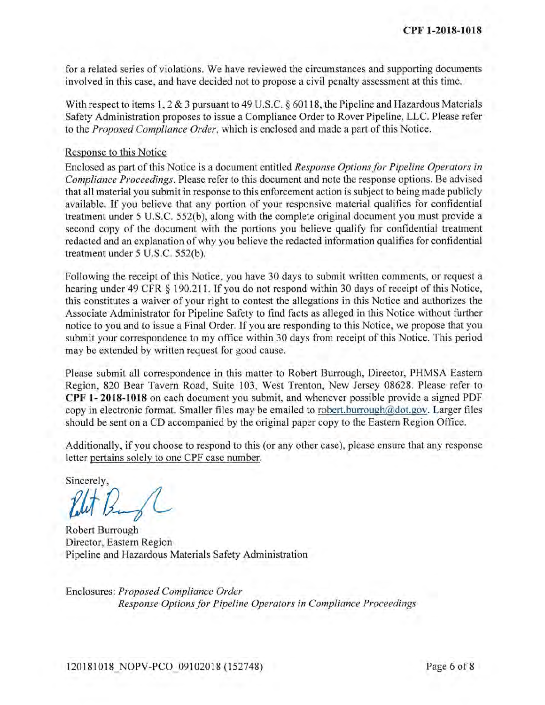for a related series of violations. We have reviewed the circumstances and supporting documents involved in this case, and have decided not to propose a civil penalty assessment at this time.

With respect to items 1, 2 & 3 pursuant to 49 U.S.C.  $\S$  60118, the Pipeline and Hazardous Materials Safety Administration proposes to issue a Compliance Order to Rover Pipeline, LLC. Please refer to the Proposed Compliance Order, which is enclosed and made a part of this Notice.

### Response to this Notice

Enclosed as part of this Notice is a document entitled Response Options for Pipeline Operators in Compliance Proceedings. Please refer to this document and note the response options. Be advised that all material you submit in response to this enforcement action is subject to being made publicly available. If you believe that any portion of your responsive material qualifies for confidential treatment under 5 U.S.C. 552(b), along with the complete original document you must provide a second copy of the document with the portions you believe qualify for confidential treatment redacted and an explanation of why you believe the redacted information qualifies for confidential treatment under 5 U.S.C. 552(b).

Following the receipt of this Notice, you have 30 days to submit written comments, or request a hearing under 49 CFR § 190.211. If you do not respond within 30 days of receipt of this Notice, this constitutes a waiver of your right to contest the allegations in this Notice and authorizes the Associate Administrator for Pipeline Safety to find facts as alleged in this Notice without further notice to you and to issue a Final Order. If you are responding to this Notice, we propose that you submit your correspondence to my office within 30 days from receipt of this Notice. This period may be extended by written request for good cause.

Please submit all correspondence in this matter to Robert Burrough, Director, PHMSA Eastern Region, 820 Bear Tavern Road, Suite 103, West Trenton, New Jersey 08628. Please refer to CPF 1-2018-1018 on each document you submit, and whenever possible provide a signed PDF copy in electronic format. Smaller files may be emailed to robert.burrough@dot.gov. Larger files should be sent on a CD accompanied by the original paper copy to the Eastern Region Office.

Additionally, if you choose to respond to this (or any other case), please ensure that any response letter pertains solely to one CPF case number.

Sincerely,

**Robert Burrough** Director, Eastern Region Pipeline and Hazardous Materials Safety Administration

Enclosures: Proposed Compliance Order Response Options for Pipeline Operators in Compliance Proceedings

120181018 NOPV-PCO 09102018 (152748)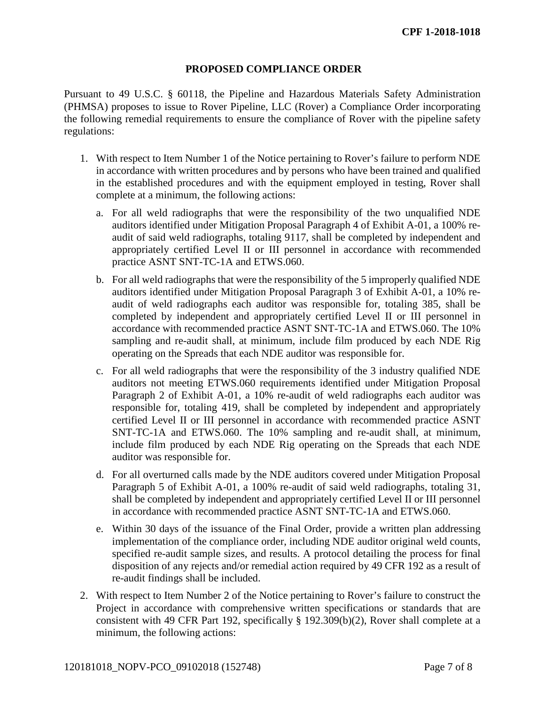### **PROPOSED COMPLIANCE ORDER**

Pursuant to 49 U.S.C. § 60118, the Pipeline and Hazardous Materials Safety Administration (PHMSA) proposes to issue to Rover Pipeline, LLC (Rover) a Compliance Order incorporating the following remedial requirements to ensure the compliance of Rover with the pipeline safety regulations:

- 1. With respect to Item Number 1 of the Notice pertaining to Rover's failure to perform NDE in accordance with written procedures and by persons who have been trained and qualified in the established procedures and with the equipment employed in testing, Rover shall complete at a minimum, the following actions:
	- a. For all weld radiographs that were the responsibility of the two unqualified NDE auditors identified under Mitigation Proposal Paragraph 4 of Exhibit A-01, a 100% reaudit of said weld radiographs, totaling 9117, shall be completed by independent and appropriately certified Level II or III personnel in accordance with recommended practice ASNT SNT-TC-1A and ETWS.060.
	- b. For all weld radiographs that were the responsibility of the 5 improperly qualified NDE auditors identified under Mitigation Proposal Paragraph 3 of Exhibit A-01, a 10% reaudit of weld radiographs each auditor was responsible for, totaling 385, shall be completed by independent and appropriately certified Level II or III personnel in accordance with recommended practice ASNT SNT-TC-1A and ETWS.060. The 10% sampling and re-audit shall, at minimum, include film produced by each NDE Rig operating on the Spreads that each NDE auditor was responsible for.
	- c. For all weld radiographs that were the responsibility of the 3 industry qualified NDE auditors not meeting ETWS.060 requirements identified under Mitigation Proposal Paragraph 2 of Exhibit A-01, a 10% re-audit of weld radiographs each auditor was responsible for, totaling 419, shall be completed by independent and appropriately certified Level II or III personnel in accordance with recommended practice ASNT SNT-TC-1A and ETWS.060. The 10% sampling and re-audit shall, at minimum, include film produced by each NDE Rig operating on the Spreads that each NDE auditor was responsible for.
	- d. For all overturned calls made by the NDE auditors covered under Mitigation Proposal Paragraph 5 of Exhibit A-01, a 100% re-audit of said weld radiographs, totaling 31, shall be completed by independent and appropriately certified Level II or III personnel in accordance with recommended practice ASNT SNT-TC-1A and ETWS.060.
	- e. Within 30 days of the issuance of the Final Order, provide a written plan addressing implementation of the compliance order, including NDE auditor original weld counts, specified re-audit sample sizes, and results. A protocol detailing the process for final disposition of any rejects and/or remedial action required by 49 CFR 192 as a result of re-audit findings shall be included.
- 2. With respect to Item Number 2 of the Notice pertaining to Rover's failure to construct the Project in accordance with comprehensive written specifications or standards that are consistent with 49 CFR Part 192, specifically § 192.309(b)(2), Rover shall complete at a minimum, the following actions: